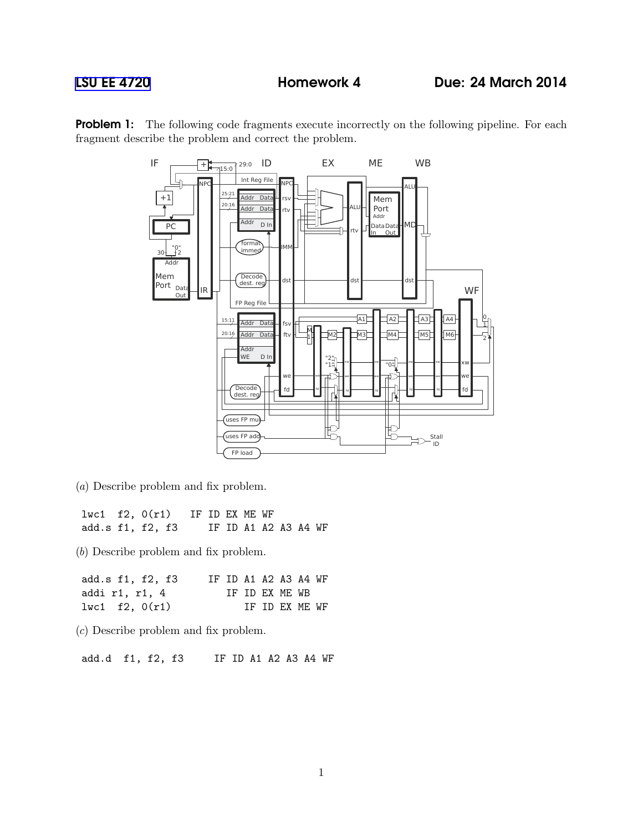**Problem 1:** The following code fragments execute incorrectly on the following pipeline. For each fragment describe the problem and correct the problem.



(a) Describe problem and fix problem.

lwc1 f2, 0(r1) IF ID EX ME WF add.s f1, f2, f3 IF ID A1 A2 A3 A4 WF (b) Describe problem and fix problem. add.s f1, f2, f3 IF ID A1 A2 A3 A4 WF addi r1, r1, 4 IF ID EX ME WB lwc1 f2, 0(r1) IF ID EX ME WF

(c) Describe problem and fix problem.

add.d f1, f2, f3 IF ID A1 A2 A3 A4 WF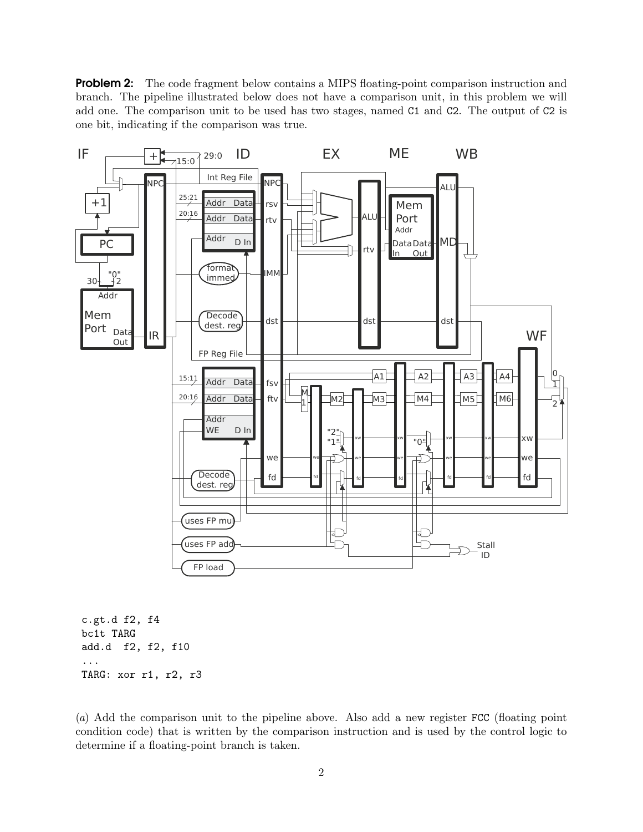**Problem 2:** The code fragment below contains a MIPS floating-point comparison instruction and branch. The pipeline illustrated below does not have a comparison unit, in this problem we will add one. The comparison unit to be used has two stages, named C1 and C2. The output of C2 is one bit, indicating if the comparison was true.



c.gt.d f2, f4 bc1t TARG add.d f2, f2, f10 ... TARG: xor r1, r2, r3

(a) Add the comparison unit to the pipeline above. Also add a new register FCC (floating point condition code) that is written by the comparison instruction and is used by the control logic to determine if a floating-point branch is taken.